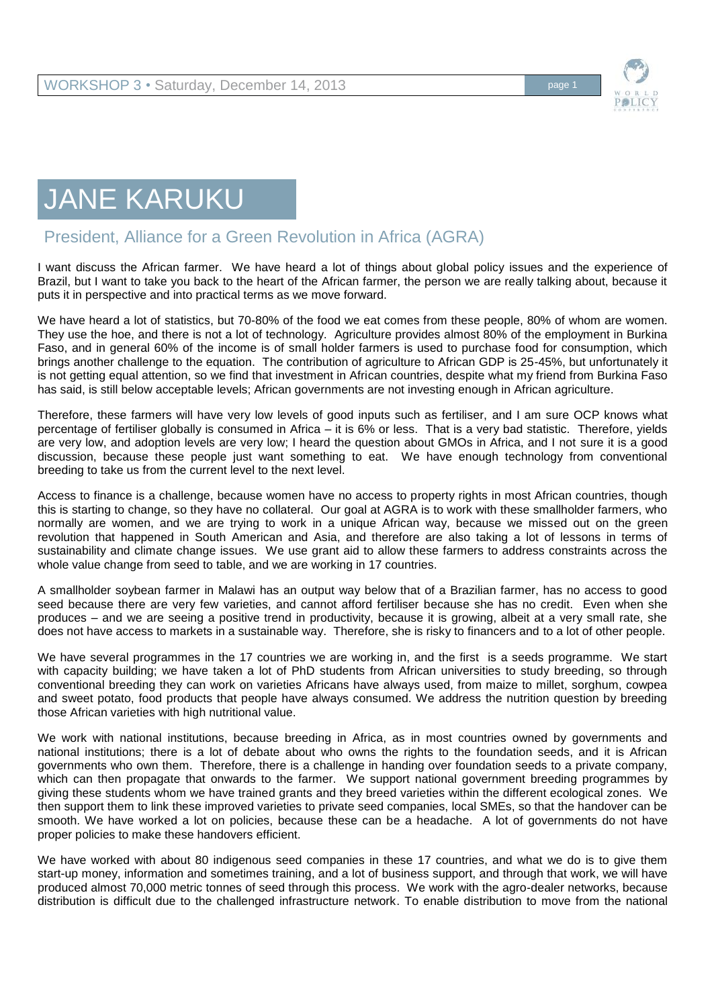

## JANE KARUKU

## President, Alliance for a Green Revolution in Africa (AGRA)

I want discuss the African farmer. We have heard a lot of things about global policy issues and the experience of Brazil, but I want to take you back to the heart of the African farmer, the person we are really talking about, because it puts it in perspective and into practical terms as we move forward.

We have heard a lot of statistics, but 70-80% of the food we eat comes from these people, 80% of whom are women. They use the hoe, and there is not a lot of technology. Agriculture provides almost 80% of the employment in Burkina Faso, and in general 60% of the income is of small holder farmers is used to purchase food for consumption, which brings another challenge to the equation. The contribution of agriculture to African GDP is 25-45%, but unfortunately it is not getting equal attention, so we find that investment in African countries, despite what my friend from Burkina Faso has said, is still below acceptable levels; African governments are not investing enough in African agriculture.

Therefore, these farmers will have very low levels of good inputs such as fertiliser, and I am sure OCP knows what percentage of fertiliser globally is consumed in Africa – it is 6% or less. That is a very bad statistic. Therefore, yields are very low, and adoption levels are very low; I heard the question about GMOs in Africa, and I not sure it is a good discussion, because these people just want something to eat. We have enough technology from conventional breeding to take us from the current level to the next level.

Access to finance is a challenge, because women have no access to property rights in most African countries, though this is starting to change, so they have no collateral. Our goal at AGRA is to work with these smallholder farmers, who normally are women, and we are trying to work in a unique African way, because we missed out on the green revolution that happened in South American and Asia, and therefore are also taking a lot of lessons in terms of sustainability and climate change issues. We use grant aid to allow these farmers to address constraints across the whole value change from seed to table, and we are working in 17 countries.

A smallholder soybean farmer in Malawi has an output way below that of a Brazilian farmer, has no access to good seed because there are very few varieties, and cannot afford fertiliser because she has no credit. Even when she produces – and we are seeing a positive trend in productivity, because it is growing, albeit at a very small rate, she does not have access to markets in a sustainable way. Therefore, she is risky to financers and to a lot of other people.

We have several programmes in the 17 countries we are working in, and the first is a seeds programme. We start with capacity building; we have taken a lot of PhD students from African universities to study breeding, so through conventional breeding they can work on varieties Africans have always used, from maize to millet, sorghum, cowpea and sweet potato, food products that people have always consumed. We address the nutrition question by breeding those African varieties with high nutritional value.

We work with national institutions, because breeding in Africa, as in most countries owned by governments and national institutions; there is a lot of debate about who owns the rights to the foundation seeds, and it is African governments who own them. Therefore, there is a challenge in handing over foundation seeds to a private company, which can then propagate that onwards to the farmer. We support national government breeding programmes by giving these students whom we have trained grants and they breed varieties within the different ecological zones. We then support them to link these improved varieties to private seed companies, local SMEs, so that the handover can be smooth. We have worked a lot on policies, because these can be a headache. A lot of governments do not have proper policies to make these handovers efficient.

We have worked with about 80 indigenous seed companies in these 17 countries, and what we do is to give them start-up money, information and sometimes training, and a lot of business support, and through that work, we will have produced almost 70,000 metric tonnes of seed through this process. We work with the agro-dealer networks, because distribution is difficult due to the challenged infrastructure network. To enable distribution to move from the national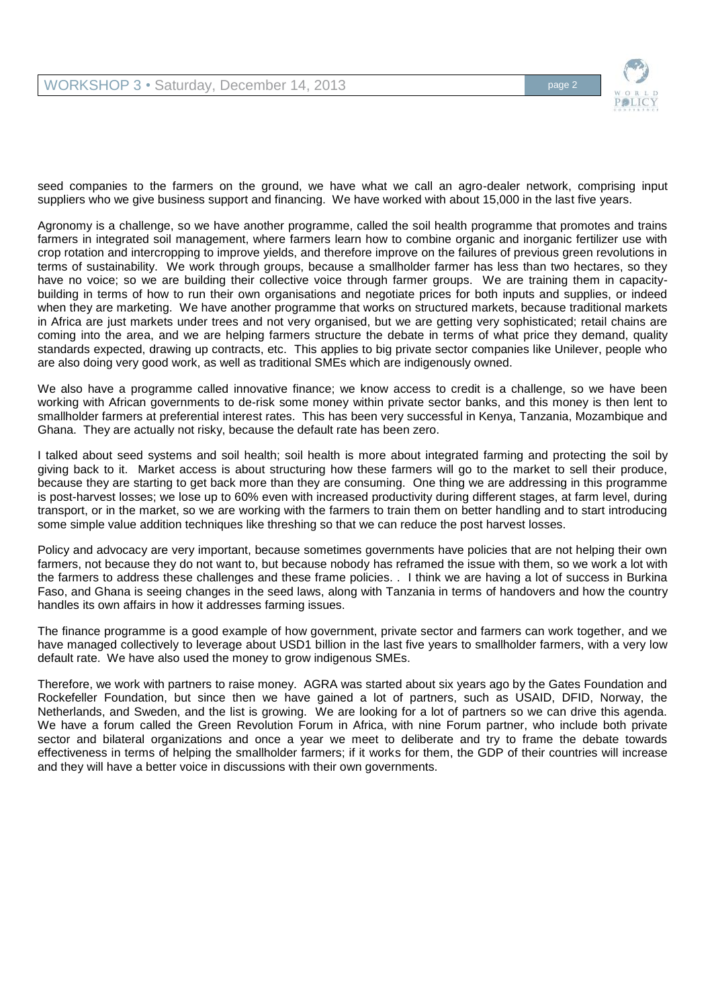

seed companies to the farmers on the ground, we have what we call an agro-dealer network, comprising input suppliers who we give business support and financing. We have worked with about 15,000 in the last five years.

Agronomy is a challenge, so we have another programme, called the soil health programme that promotes and trains farmers in integrated soil management, where farmers learn how to combine organic and inorganic fertilizer use with crop rotation and intercropping to improve yields, and therefore improve on the failures of previous green revolutions in terms of sustainability. We work through groups, because a smallholder farmer has less than two hectares, so they have no voice; so we are building their collective voice through farmer groups. We are training them in capacitybuilding in terms of how to run their own organisations and negotiate prices for both inputs and supplies, or indeed when they are marketing. We have another programme that works on structured markets, because traditional markets in Africa are just markets under trees and not very organised, but we are getting very sophisticated; retail chains are coming into the area, and we are helping farmers structure the debate in terms of what price they demand, quality standards expected, drawing up contracts, etc. This applies to big private sector companies like Unilever, people who are also doing very good work, as well as traditional SMEs which are indigenously owned.

We also have a programme called innovative finance; we know access to credit is a challenge, so we have been working with African governments to de-risk some money within private sector banks, and this money is then lent to smallholder farmers at preferential interest rates. This has been very successful in Kenya, Tanzania, Mozambique and Ghana. They are actually not risky, because the default rate has been zero.

I talked about seed systems and soil health; soil health is more about integrated farming and protecting the soil by giving back to it. Market access is about structuring how these farmers will go to the market to sell their produce, because they are starting to get back more than they are consuming. One thing we are addressing in this programme is post-harvest losses; we lose up to 60% even with increased productivity during different stages, at farm level, during transport, or in the market, so we are working with the farmers to train them on better handling and to start introducing some simple value addition techniques like threshing so that we can reduce the post harvest losses.

Policy and advocacy are very important, because sometimes governments have policies that are not helping their own farmers, not because they do not want to, but because nobody has reframed the issue with them, so we work a lot with the farmers to address these challenges and these frame policies. . I think we are having a lot of success in Burkina Faso, and Ghana is seeing changes in the seed laws, along with Tanzania in terms of handovers and how the country handles its own affairs in how it addresses farming issues.

The finance programme is a good example of how government, private sector and farmers can work together, and we have managed collectively to leverage about USD1 billion in the last five years to smallholder farmers, with a very low default rate. We have also used the money to grow indigenous SMEs.

Therefore, we work with partners to raise money. AGRA was started about six years ago by the Gates Foundation and Rockefeller Foundation, but since then we have gained a lot of partners, such as USAID, DFID, Norway, the Netherlands, and Sweden, and the list is growing. We are looking for a lot of partners so we can drive this agenda. We have a forum called the Green Revolution Forum in Africa, with nine Forum partner, who include both private sector and bilateral organizations and once a year we meet to deliberate and try to frame the debate towards effectiveness in terms of helping the smallholder farmers; if it works for them, the GDP of their countries will increase and they will have a better voice in discussions with their own governments.